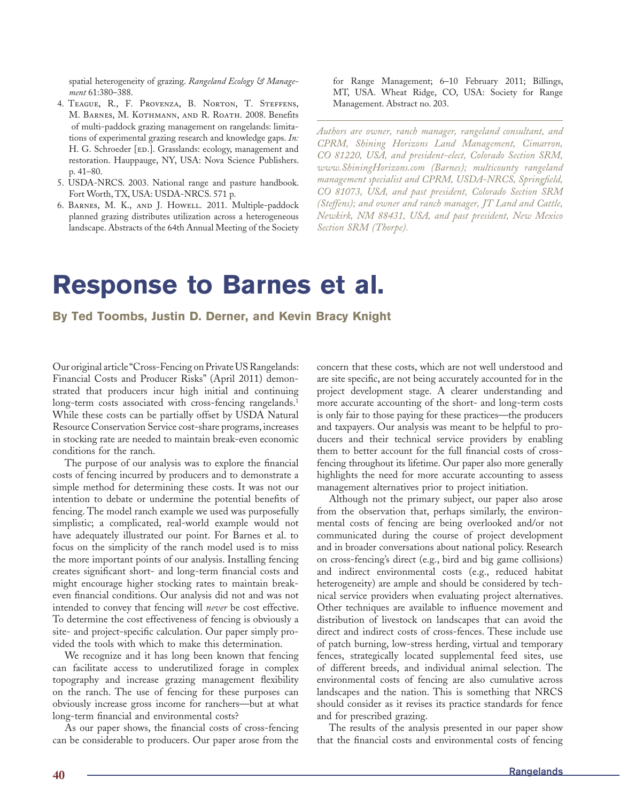spatial heterogeneity of grazing. *Rangeland Ecology & Management* 61:380–388.

- 4. Teague, R., F. Provenza, B. Norton, T. Steffens, M. BARNES, M. KOTHMANN, AND R. ROATH. 2008. Benefits of multi-paddock grazing management on rangelands: limitations of experimental grazing research and knowledge gaps. *In:*  H. G. Schroeder [ED.]. Grasslands: ecology, management and restoration. Hauppauge, NY, USA: Nova Science Publishers. p. 41–80.
- 5. USDA-NRCS. 2003. National range and pasture handbook. Fort Worth, TX, USA: USDA-NRCS. 571 p.
- 6. Barnes, M. K., and J. Howell. 2011. Multiple-paddock planned grazing distributes utilization across a heterogeneous landscape. Abstracts of the 64th Annual Meeting of the Society

for Range Management; 6–10 February 2011; Billings, MT, USA. Wheat Ridge, CO, USA: Society for Range Management. Abstract no. 203.

*Authors are owner, ranch manager, rangeland consultant, and CPRM, Shining Horizons Land Management, Cimarron, CO 81220, USA, and president-elect, Colorado Section SRM, www.ShiningHorizons.com (Barnes); multicounty rangeland*  management specialist and CPRM, USDA-NRCS, Springfield, *CO 81073, USA, and past president, Colorado Section SRM (Steffens); and owner and ranch manager, JT Land and Cattle, Newkirk, NM 88431, USA, and past president, New Mexico Section SRM (Thorpe).*

## **Response to Barnes et al.**

**By Ted Toombs, Justin D. Derner, and Kevin Bracy Knight**

Our original article "Cross-Fencing on Private US Rangelands: Financial Costs and Producer Risks" (April 2011) demonstrated that producers incur high initial and continuing long-term costs associated with cross-fencing rangelands.<sup>1</sup> While these costs can be partially offset by USDA Natural Resource Conservation Service cost-share programs, increases in stocking rate are needed to maintain break-even economic conditions for the ranch.

The purpose of our analysis was to explore the financial costs of fencing incurred by producers and to demonstrate a simple method for determining these costs. It was not our intention to debate or undermine the potential benefits of fencing. The model ranch example we used was purposefully simplistic; a complicated, real-world example would not have adequately illustrated our point. For Barnes et al. to focus on the simplicity of the ranch model used is to miss the more important points of our analysis. Installing fencing creates significant short- and long-term financial costs and might encourage higher stocking rates to maintain breakeven financial conditions. Our analysis did not and was not intended to convey that fencing will *never* be cost effective. To determine the cost effectiveness of fencing is obviously a site- and project-specific calculation. Our paper simply provided the tools with which to make this determination.

We recognize and it has long been known that fencing can facilitate access to underutilized forage in complex topography and increase grazing management flexibility on the ranch. The use of fencing for these purposes can obviously increase gross income for ranchers—but at what long-term financial and environmental costs?

As our paper shows, the financial costs of cross-fencing can be considerable to producers. Our paper arose from the concern that these costs, which are not well understood and are site specific, are not being accurately accounted for in the project development stage. A clearer understanding and more accurate accounting of the short- and long-term costs is only fair to those paying for these practices—the producers and taxpayers. Our analysis was meant to be helpful to producers and their technical service providers by enabling them to better account for the full financial costs of crossfencing throughout its lifetime. Our paper also more generally highlights the need for more accurate accounting to assess management alternatives prior to project initiation.

Although not the primary subject, our paper also arose from the observation that, perhaps similarly, the environmental costs of fencing are being overlooked and/or not communicated during the course of project development and in broader conversations about national policy. Research on cross-fencing's direct (e.g., bird and big game collisions) and indirect environmental costs (e.g., reduced habitat heterogeneity) are ample and should be considered by technical service providers when evaluating project alternatives. Other techniques are available to influence movement and distribution of livestock on landscapes that can avoid the direct and indirect costs of cross-fences. These include use of patch burning, low-stress herding, virtual and temporary fences, strategically located supplemental feed sites, use of different breeds, and individual animal selection. The environmental costs of fencing are also cumulative across landscapes and the nation. This is something that NRCS should consider as it revises its practice standards for fence and for prescribed grazing.

The results of the analysis presented in our paper show that the financial costs and environmental costs of fencing